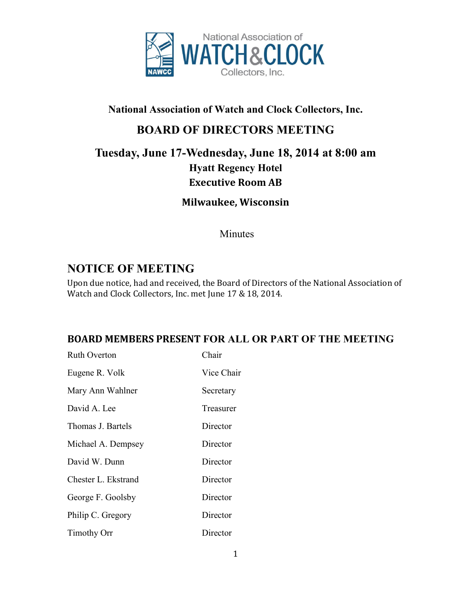

#### **National Association of Watch and Clock Collectors, Inc.**

# **BOARD OF DIRECTORS MEETING**

# **Tuesday, June 17-Wednesday, June 18, 2014 at 8:00 am Hyatt Regency Hotel Executive Room AB**

**Milwaukee, Wisconsin**

Minutes

# **NOTICE OF MEETING**

Upon due notice, had and received, the Board of Directors of the National Association of Watch and Clock Collectors, Inc. met June 17 & 18, 2014.

#### **BOARD MEMBERS PRESENT FOR ALL OR PART OF THE MEETING**

| <b>Ruth Overton</b> | Chair      |
|---------------------|------------|
| Eugene R. Volk      | Vice Chair |
| Mary Ann Wahlner    | Secretary  |
| David A. Lee        | Treasurer  |
| Thomas J. Bartels   | Director   |
| Michael A. Dempsey  | Director   |
| David W. Dunn       | Director   |
| Chester L. Ekstrand | Director   |
| George F. Goolsby   | Director   |
| Philip C. Gregory   | Director   |
| <b>Timothy Orr</b>  | Director   |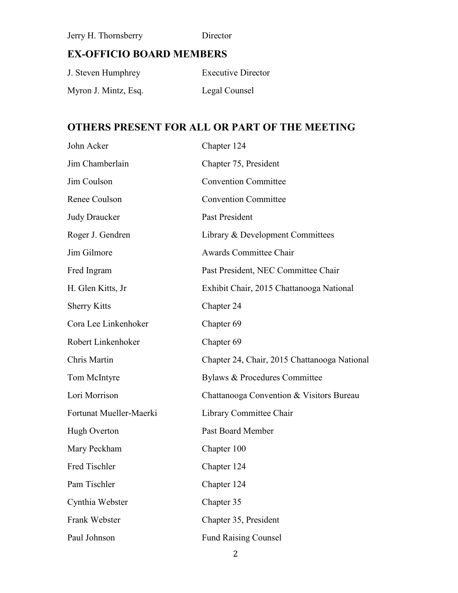Jerry H. Thornsberry Director

# **EX-OFFICIO BOARD MEMBERS**

| J. Steven Humphrey   | <b>Executive Director</b> |
|----------------------|---------------------------|
| Myron J. Mintz, Esq. | Legal Counsel             |

## **OTHERS PRESENT FOR ALL OR PART OF THE MEETING**

| John Acker              | Chapter 124                                  |
|-------------------------|----------------------------------------------|
| Jim Chamberlain         | Chapter 75, President                        |
| Jim Coulson             | <b>Convention Committee</b>                  |
| Renee Coulson           | <b>Convention Committee</b>                  |
| <b>Judy Draucker</b>    | Past President                               |
| Roger J. Gendren        | Library & Development Committees             |
| Jim Gilmore             | <b>Awards Committee Chair</b>                |
| Fred Ingram             | Past President, NEC Committee Chair          |
| H. Glen Kitts, Jr       | Exhibit Chair, 2015 Chattanooga National     |
| <b>Sherry Kitts</b>     | Chapter 24                                   |
| Cora Lee Linkenhoker    | Chapter 69                                   |
| Robert Linkenhoker      | Chapter 69                                   |
| Chris Martin            | Chapter 24, Chair, 2015 Chattanooga National |
| Tom McIntyre            | Bylaws & Procedures Committee                |
| Lori Morrison           | Chattanooga Convention & Visitors Bureau     |
| Fortunat Mueller-Maerki | Library Committee Chair                      |
| Hugh Overton            | Past Board Member                            |
| Mary Peckham            | Chapter 100                                  |
| Fred Tischler           | Chapter 124                                  |
| Pam Tischler            | Chapter 124                                  |
| Cynthia Webster         | Chapter 35                                   |
| Frank Webster           | Chapter 35, President                        |
| Paul Johnson            | <b>Fund Raising Counsel</b>                  |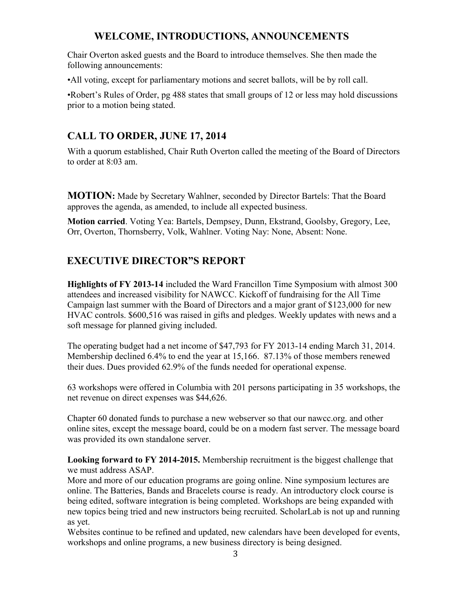#### **WELCOME, INTRODUCTIONS, ANNOUNCEMENTS**

Chair Overton asked guests and the Board to introduce themselves. She then made the following announcements:

•All voting, except for parliamentary motions and secret ballots, will be by roll call.

•Robert's Rules of Order, pg 488 states that small groups of 12 or less may hold discussions prior to a motion being stated.

### **CALL TO ORDER, JUNE 17, 2014**

With a quorum established, Chair Ruth Overton called the meeting of the Board of Directors to order at 8:03 am.

**MOTION:** Made by Secretary Wahlner, seconded by Director Bartels: That the Board approves the agenda, as amended, to include all expected business.

**Motion carried**. Voting Yea: Bartels, Dempsey, Dunn, Ekstrand, Goolsby, Gregory, Lee, Orr, Overton, Thornsberry, Volk, Wahlner. Voting Nay: None, Absent: None.

## **EXECUTIVE DIRECTOR"S REPORT**

**Highlights of FY 2013-14** included the Ward Francillon Time Symposium with almost 300 attendees and increased visibility for NAWCC. Kickoff of fundraising for the All Time Campaign last summer with the Board of Directors and a major grant of \$123,000 for new HVAC controls. \$600,516 was raised in gifts and pledges. Weekly updates with news and a soft message for planned giving included.

The operating budget had a net income of \$47,793 for FY 2013-14 ending March 31, 2014. Membership declined 6.4% to end the year at 15,166. 87.13% of those members renewed their dues. Dues provided 62.9% of the funds needed for operational expense.

63 workshops were offered in Columbia with 201 persons participating in 35 workshops, the net revenue on direct expenses was \$44,626.

Chapter 60 donated funds to purchase a new webserver so that our nawcc.org. and other online sites, except the message board, could be on a modern fast server. The message board was provided its own standalone server.

**Looking forward to FY 2014-2015.** Membership recruitment is the biggest challenge that we must address ASAP.

More and more of our education programs are going online. Nine symposium lectures are online. The Batteries, Bands and Bracelets course is ready. An introductory clock course is being edited, software integration is being completed. Workshops are being expanded with new topics being tried and new instructors being recruited. ScholarLab is not up and running as yet.

Websites continue to be refined and updated, new calendars have been developed for events, workshops and online programs, a new business directory is being designed.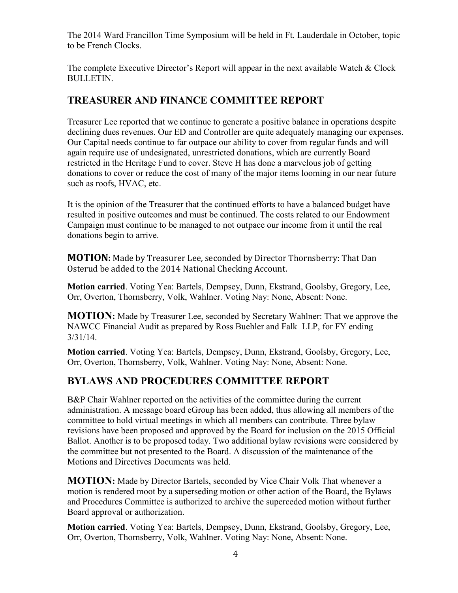The 2014 Ward Francillon Time Symposium will be held in Ft. Lauderdale in October, topic to be French Clocks.

The complete Executive Director's Report will appear in the next available Watch & Clock BULLETIN.

#### **TREASURER AND FINANCE COMMITTEE REPORT**

Treasurer Lee reported that we continue to generate a positive balance in operations despite declining dues revenues. Our ED and Controller are quite adequately managing our expenses. Our Capital needs continue to far outpace our ability to cover from regular funds and will again require use of undesignated, unrestricted donations, which are currently Board restricted in the Heritage Fund to cover. Steve H has done a marvelous job of getting donations to cover or reduce the cost of many of the major items looming in our near future such as roofs, HVAC, etc.

It is the opinion of the Treasurer that the continued efforts to have a balanced budget have resulted in positive outcomes and must be continued. The costs related to our Endowment Campaign must continue to be managed to not outpace our income from it until the real donations begin to arrive.

**MOTION:** Made by Treasurer Lee, seconded by Director Thornsberry: That Dan Osterud be added to the 2014 National Checking Account.

**Motion carried**. Voting Yea: Bartels, Dempsey, Dunn, Ekstrand, Goolsby, Gregory, Lee, Orr, Overton, Thornsberry, Volk, Wahlner. Voting Nay: None, Absent: None.

**MOTION:** Made by Treasurer Lee, seconded by Secretary Wahlner: That we approve the NAWCC Financial Audit as prepared by Ross Buehler and Falk LLP, for FY ending 3/31/14.

**Motion carried**. Voting Yea: Bartels, Dempsey, Dunn, Ekstrand, Goolsby, Gregory, Lee, Orr, Overton, Thornsberry, Volk, Wahlner. Voting Nay: None, Absent: None.

#### **BYLAWS AND PROCEDURES COMMITTEE REPORT**

B&P Chair Wahlner reported on the activities of the committee during the current administration. A message board eGroup has been added, thus allowing all members of the committee to hold virtual meetings in which all members can contribute. Three bylaw revisions have been proposed and approved by the Board for inclusion on the 2015 Official Ballot. Another is to be proposed today. Two additional bylaw revisions were considered by the committee but not presented to the Board. A discussion of the maintenance of the Motions and Directives Documents was held.

**MOTION:** Made by Director Bartels, seconded by Vice Chair Volk That whenever a motion is rendered moot by a superseding motion or other action of the Board, the Bylaws and Procedures Committee is authorized to archive the superceded motion without further Board approval or authorization.

**Motion carried**. Voting Yea: Bartels, Dempsey, Dunn, Ekstrand, Goolsby, Gregory, Lee, Orr, Overton, Thornsberry, Volk, Wahlner. Voting Nay: None, Absent: None.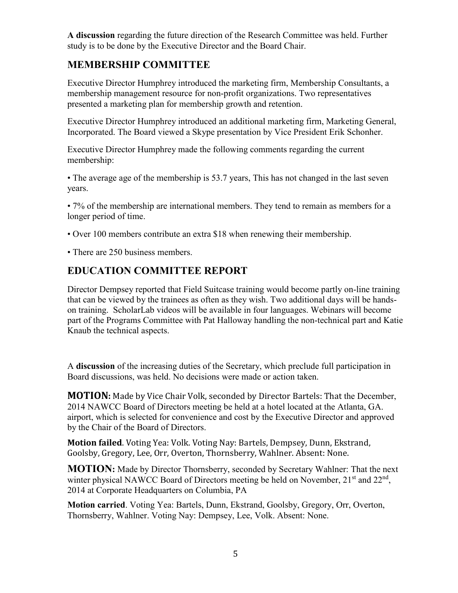**A discussion** regarding the future direction of the Research Committee was held. Further study is to be done by the Executive Director and the Board Chair.

#### **MEMBERSHIP COMMITTEE**

Executive Director Humphrey introduced the marketing firm, Membership Consultants, a membership management resource for non-profit organizations. Two representatives presented a marketing plan for membership growth and retention.

Executive Director Humphrey introduced an additional marketing firm, Marketing General, Incorporated. The Board viewed a Skype presentation by Vice President Erik Schonher.

Executive Director Humphrey made the following comments regarding the current membership:

• The average age of the membership is 53.7 years, This has not changed in the last seven years.

• 7% of the membership are international members. They tend to remain as members for a longer period of time.

- Over 100 members contribute an extra \$18 when renewing their membership.
- There are 250 business members.

#### **EDUCATION COMMITTEE REPORT**

Director Dempsey reported that Field Suitcase training would become partly on-line training that can be viewed by the trainees as often as they wish. Two additional days will be handson training. ScholarLab videos will be available in four languages. Webinars will become part of the Programs Committee with Pat Halloway handling the non-technical part and Katie Knaub the technical aspects.

A **discussion** of the increasing duties of the Secretary, which preclude full participation in Board discussions, was held. No decisions were made or action taken.

**MOTION:** Made by Vice Chair Volk, seconded by Director Bartels: That the December, 2014 NAWCC Board of Directors meeting be held at a hotel located at the Atlanta, GA. airport, which is selected for convenience and cost by the Executive Director and approved by the Chair of the Board of Directors.

**Motion failed**. Voting Yea: Volk. Voting Nay: Bartels, Dempsey, Dunn, Ekstrand, Goolsby, Gregory, Lee, Orr, Overton, Thornsberry, Wahlner. Absent: None.

**MOTION:** Made by Director Thornsberry, seconded by Secretary Wahlner: That the next winter physical NAWCC Board of Directors meeting be held on November,  $21<sup>st</sup>$  and  $22<sup>nd</sup>$ , 2014 at Corporate Headquarters on Columbia, PA

**Motion carried**. Voting Yea: Bartels, Dunn, Ekstrand, Goolsby, Gregory, Orr, Overton, Thornsberry, Wahlner. Voting Nay: Dempsey, Lee, Volk. Absent: None.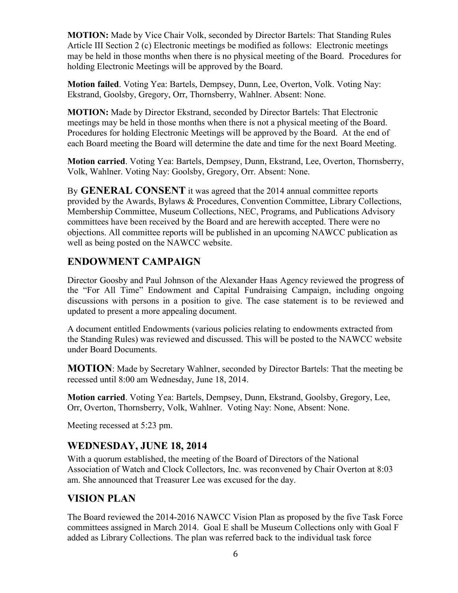**MOTION:** Made by Vice Chair Volk, seconded by Director Bartels: That Standing Rules Article III Section 2 (c) Electronic meetings be modified as follows: Electronic meetings may be held in those months when there is no physical meeting of the Board. Procedures for holding Electronic Meetings will be approved by the Board.

**Motion failed**. Voting Yea: Bartels, Dempsey, Dunn, Lee, Overton, Volk. Voting Nay: Ekstrand, Goolsby, Gregory, Orr, Thornsberry, Wahlner. Absent: None.

**MOTION:** Made by Director Ekstrand, seconded by Director Bartels: That Electronic meetings may be held in those months when there is not a physical meeting of the Board. Procedures for holding Electronic Meetings will be approved by the Board. At the end of each Board meeting the Board will determine the date and time for the next Board Meeting.

**Motion carried**. Voting Yea: Bartels, Dempsey, Dunn, Ekstrand, Lee, Overton, Thornsberry, Volk, Wahlner. Voting Nay: Goolsby, Gregory, Orr. Absent: None.

By **GENERAL CONSENT** it was agreed that the 2014 annual committee reports provided by the Awards, Bylaws & Procedures, Convention Committee, Library Collections, Membership Committee, Museum Collections, NEC, Programs, and Publications Advisory committees have been received by the Board and are herewith accepted. There were no objections. All committee reports will be published in an upcoming NAWCC publication as well as being posted on the NAWCC website.

## **ENDOWMENT CAMPAIGN**

Director Goosby and Paul Johnson of the Alexander Haas Agency reviewed the progress of the "For All Time" Endowment and Capital Fundraising Campaign, including ongoing discussions with persons in a position to give. The case statement is to be reviewed and updated to present a more appealing document.

A document entitled Endowments (various policies relating to endowments extracted from the Standing Rules) was reviewed and discussed. This will be posted to the NAWCC website under Board Documents.

**MOTION**: Made by Secretary Wahlner, seconded by Director Bartels: That the meeting be recessed until 8:00 am Wednesday, June 18, 2014.

**Motion carried**. Voting Yea: Bartels, Dempsey, Dunn, Ekstrand, Goolsby, Gregory, Lee, Orr, Overton, Thornsberry, Volk, Wahlner. Voting Nay: None, Absent: None.

Meeting recessed at 5:23 pm.

#### **WEDNESDAY, JUNE 18, 2014**

With a quorum established, the meeting of the Board of Directors of the National Association of Watch and Clock Collectors, Inc. was reconvened by Chair Overton at 8:03 am. She announced that Treasurer Lee was excused for the day.

#### **VISION PLAN**

The Board reviewed the 2014-2016 NAWCC Vision Plan as proposed by the five Task Force committees assigned in March 2014. Goal E shall be Museum Collections only with Goal F added as Library Collections. The plan was referred back to the individual task force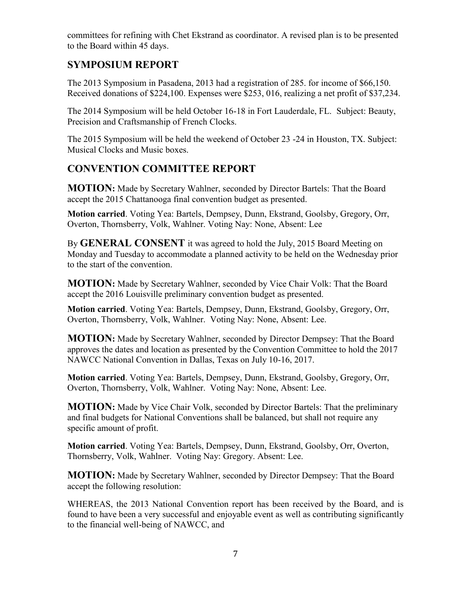committees for refining with Chet Ekstrand as coordinator. A revised plan is to be presented to the Board within 45 days.

#### **SYMPOSIUM REPORT**

The 2013 Symposium in Pasadena, 2013 had a registration of 285. for income of \$66,150. Received donations of \$224,100. Expenses were \$253, 016, realizing a net profit of \$37,234.

The 2014 Symposium will be held October 16-18 in Fort Lauderdale, FL. Subject: Beauty, Precision and Craftsmanship of French Clocks.

The 2015 Symposium will be held the weekend of October 23 -24 in Houston, TX. Subject: Musical Clocks and Music boxes.

## **CONVENTION COMMITTEE REPORT**

**MOTION:** Made by Secretary Wahlner, seconded by Director Bartels: That the Board accept the 2015 Chattanooga final convention budget as presented.

**Motion carried**. Voting Yea: Bartels, Dempsey, Dunn, Ekstrand, Goolsby, Gregory, Orr, Overton, Thornsberry, Volk, Wahlner. Voting Nay: None, Absent: Lee

By **GENERAL CONSENT** it was agreed to hold the July, 2015 Board Meeting on Monday and Tuesday to accommodate a planned activity to be held on the Wednesday prior to the start of the convention.

**MOTION:** Made by Secretary Wahlner, seconded by Vice Chair Volk: That the Board accept the 2016 Louisville preliminary convention budget as presented.

**Motion carried**. Voting Yea: Bartels, Dempsey, Dunn, Ekstrand, Goolsby, Gregory, Orr, Overton, Thornsberry, Volk, Wahlner. Voting Nay: None, Absent: Lee.

**MOTION:** Made by Secretary Wahlner, seconded by Director Dempsey: That the Board approves the dates and location as presented by the Convention Committee to hold the 2017 NAWCC National Convention in Dallas, Texas on July 10-16, 2017.

**Motion carried**. Voting Yea: Bartels, Dempsey, Dunn, Ekstrand, Goolsby, Gregory, Orr, Overton, Thornsberry, Volk, Wahlner. Voting Nay: None, Absent: Lee.

**MOTION:** Made by Vice Chair Volk, seconded by Director Bartels: That the preliminary and final budgets for National Conventions shall be balanced, but shall not require any specific amount of profit.

**Motion carried**. Voting Yea: Bartels, Dempsey, Dunn, Ekstrand, Goolsby, Orr, Overton, Thornsberry, Volk, Wahlner. Voting Nay: Gregory. Absent: Lee.

**MOTION:** Made by Secretary Wahlner, seconded by Director Dempsey: That the Board accept the following resolution:

WHEREAS, the 2013 National Convention report has been received by the Board, and is found to have been a very successful and enjoyable event as well as contributing significantly to the financial well-being of NAWCC, and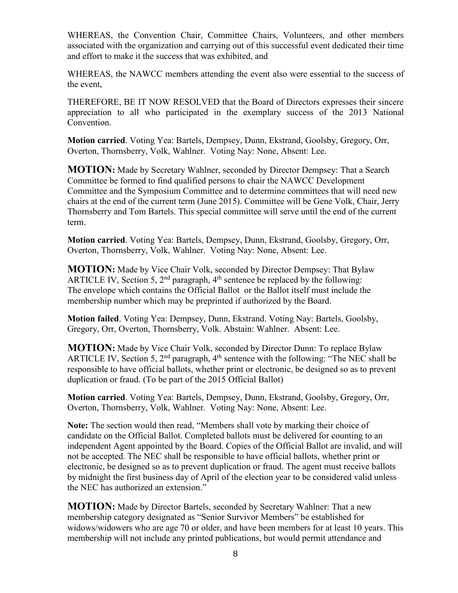WHEREAS, the Convention Chair, Committee Chairs, Volunteers, and other members associated with the organization and carrying out of this successful event dedicated their time and effort to make it the success that was exhibited, and

WHEREAS, the NAWCC members attending the event also were essential to the success of the event,

THEREFORE, BE IT NOW RESOLVED that the Board of Directors expresses their sincere appreciation to all who participated in the exemplary success of the 2013 National Convention.

**Motion carried**. Voting Yea: Bartels, Dempsey, Dunn, Ekstrand, Goolsby, Gregory, Orr, Overton, Thornsberry, Volk, Wahlner. Voting Nay: None, Absent: Lee.

**MOTION:** Made by Secretary Wahlner, seconded by Director Dempsey: That a Search Committee be formed to find qualified persons to chair the NAWCC Development Committee and the Symposium Committee and to determine committees that will need new chairs at the end of the current term (June 2015). Committee will be Gene Volk, Chair, Jerry Thornsberry and Tom Bartels. This special committee will serve until the end of the current term.

**Motion carried**. Voting Yea: Bartels, Dempsey, Dunn, Ekstrand, Goolsby, Gregory, Orr, Overton, Thornsberry, Volk, Wahlner. Voting Nay: None, Absent: Lee.

**MOTION:** Made by Vice Chair Volk, seconded by Director Dempsey: That Bylaw ARTICLE IV, Section 5,  $2<sup>nd</sup>$  paragraph,  $4<sup>th</sup>$  sentence be replaced by the following: The envelope which contains the Official Ballot or the Ballot itself must include the membership number which may be preprinted if authorized by the Board.

**Motion failed**. Voting Yea: Dempsey, Dunn, Ekstrand. Voting Nay: Bartels, Goolsby, Gregory, Orr, Overton, Thornsberry, Volk. Abstain: Wahlner. Absent: Lee.

**MOTION:** Made by Vice Chair Volk, seconded by Director Dunn: To replace Bylaw ARTICLE IV, Section 5,  $2<sup>nd</sup>$  paragraph,  $4<sup>th</sup>$  sentence with the following: "The NEC shall be responsible to have official ballots, whether print or electronic, be designed so as to prevent duplication or fraud. (To be part of the 2015 Official Ballot)

**Motion carried**. Voting Yea: Bartels, Dempsey, Dunn, Ekstrand, Goolsby, Gregory, Orr, Overton, Thornsberry, Volk, Wahlner. Voting Nay: None, Absent: Lee.

**Note:** The section would then read, "Members shall vote by marking their choice of candidate on the Official Ballot. Completed ballots must be delivered for counting to an independent Agent appointed by the Board. Copies of the Official Ballot are invalid, and will not be accepted. The NEC shall be responsible to have official ballots, whether print or electronic, be designed so as to prevent duplication or fraud. The agent must receive ballots by midnight the first business day of April of the election year to be considered valid unless the NEC has authorized an extension."

**MOTION:** Made by Director Bartels, seconded by Secretary Wahlner: That a new membership category designated as "Senior Survivor Members" be established for widows/widowers who are age 70 or older, and have been members for at least 10 years. This membership will not include any printed publications, but would permit attendance and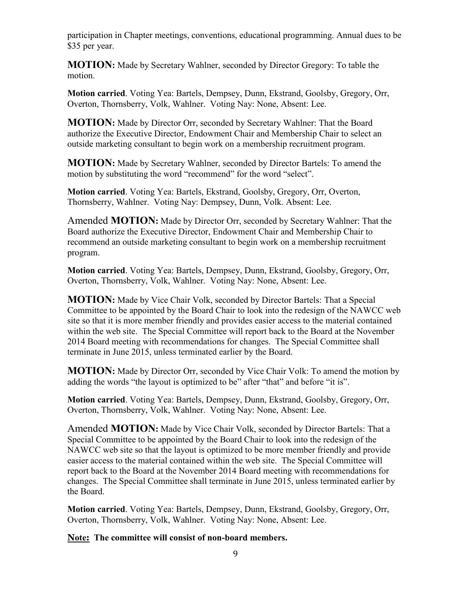participation in Chapter meetings, conventions, educational programming. Annual dues to be \$35 per year.

**MOTION:** Made by Secretary Wahlner, seconded by Director Gregory: To table the motion.

**Motion carried**. Voting Yea: Bartels, Dempsey, Dunn, Ekstrand, Goolsby, Gregory, Orr, Overton, Thornsberry, Volk, Wahlner. Voting Nay: None, Absent: Lee.

**MOTION:** Made by Director Orr, seconded by Secretary Wahlner: That the Board authorize the Executive Director, Endowment Chair and Membership Chair to select an outside marketing consultant to begin work on a membership recruitment program.

**MOTION:** Made by Secretary Wahlner, seconded by Director Bartels: To amend the motion by substituting the word "recommend" for the word "select".

**Motion carried**. Voting Yea: Bartels, Ekstrand, Goolsby, Gregory, Orr, Overton, Thornsberry, Wahlner. Voting Nay: Dempsey, Dunn, Volk. Absent: Lee.

Amended **MOTION:** Made by Director Orr, seconded by Secretary Wahlner: That the Board authorize the Executive Director, Endowment Chair and Membership Chair to recommend an outside marketing consultant to begin work on a membership recruitment program.

**Motion carried**. Voting Yea: Bartels, Dempsey, Dunn, Ekstrand, Goolsby, Gregory, Orr, Overton, Thornsberry, Volk, Wahlner. Voting Nay: None, Absent: Lee.

**MOTION:** Made by Vice Chair Volk, seconded by Director Bartels: That a Special Committee to be appointed by the Board Chair to look into the redesign of the NAWCC web site so that it is more member friendly and provides easier access to the material contained within the web site. The Special Committee will report back to the Board at the November 2014 Board meeting with recommendations for changes. The Special Committee shall terminate in June 2015, unless terminated earlier by the Board.

**MOTION:** Made by Director Orr, seconded by Vice Chair Volk: To amend the motion by adding the words "the layout is optimized to be" after "that" and before "it is".

**Motion carried**. Voting Yea: Bartels, Dempsey, Dunn, Ekstrand, Goolsby, Gregory, Orr, Overton, Thornsberry, Volk, Wahlner. Voting Nay: None, Absent: Lee.

Amended **MOTION:** Made by Vice Chair Volk, seconded by Director Bartels: That a Special Committee to be appointed by the Board Chair to look into the redesign of the NAWCC web site so that the layout is optimized to be more member friendly and provide easier access to the material contained within the web site. The Special Committee will report back to the Board at the November 2014 Board meeting with recommendations for changes. The Special Committee shall terminate in June 2015, unless terminated earlier by the Board.

**Motion carried**. Voting Yea: Bartels, Dempsey, Dunn, Ekstrand, Goolsby, Gregory, Orr, Overton, Thornsberry, Volk, Wahlner. Voting Nay: None, Absent: Lee.

**Note: The committee will consist of non-board members.**